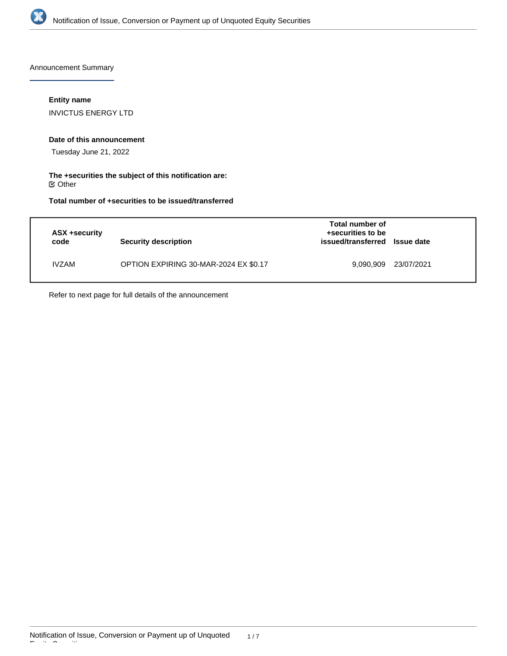

Announcement Summary

## **Entity name**

INVICTUS ENERGY LTD

## **Date of this announcement**

Tuesday June 21, 2022

**The +securities the subject of this notification are:**  $\mathfrak S$  Other

**Total number of +securities to be issued/transferred**

| ASX +security<br>code | Security description                  | Total number of<br>+securities to be<br>issued/transferred Issue date |            |
|-----------------------|---------------------------------------|-----------------------------------------------------------------------|------------|
| <b>IVZAM</b>          | OPTION EXPIRING 30-MAR-2024 EX \$0.17 | 9.090.909                                                             | 23/07/2021 |

Refer to next page for full details of the announcement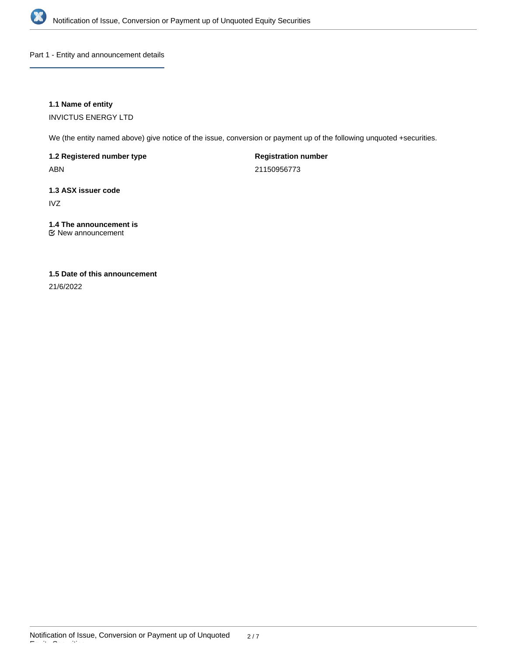

Part 1 - Entity and announcement details

## **1.1 Name of entity**

INVICTUS ENERGY LTD

We (the entity named above) give notice of the issue, conversion or payment up of the following unquoted +securities.

**1.2 Registered number type**

ABN

**Registration number**

21150956773

# **1.3 ASX issuer code**

IVZ

## **1.4 The announcement is**

New announcement

## **1.5 Date of this announcement**

21/6/2022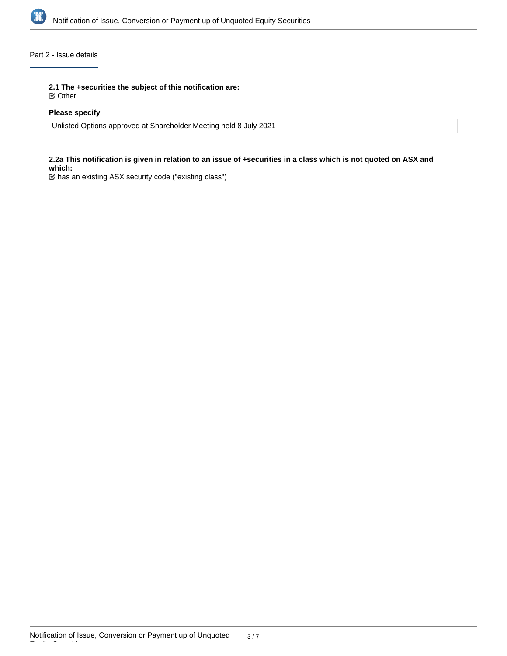

## Part 2 - Issue details

**2.1 The +securities the subject of this notification are:**

Other

## **Please specify**

Unlisted Options approved at Shareholder Meeting held 8 July 2021

#### **2.2a This notification is given in relation to an issue of +securities in a class which is not quoted on ASX and which:**

has an existing ASX security code ("existing class")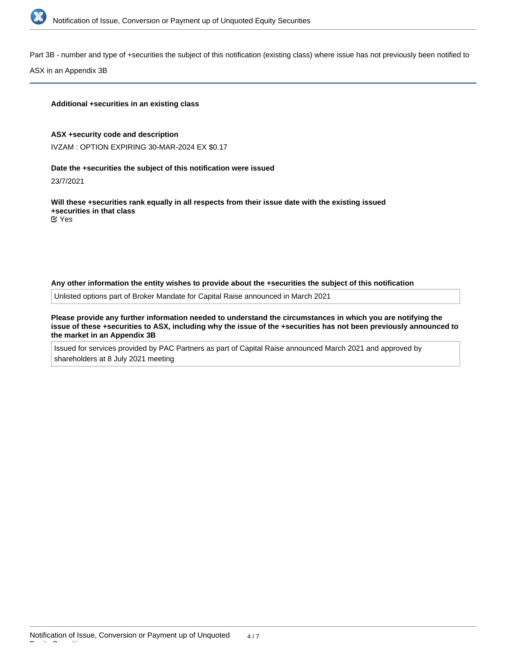

Part 3B - number and type of +securities the subject of this notification (existing class) where issue has not previously been notified to

ASX in an Appendix 3B

#### **Additional +securities in an existing class**

#### **ASX +security code and description**

IVZAM : OPTION EXPIRING 30-MAR-2024 EX \$0.17

#### **Date the +securities the subject of this notification were issued**

23/7/2021

**Will these +securities rank equally in all respects from their issue date with the existing issued +securities in that class**

Yes

#### **Any other information the entity wishes to provide about the +securities the subject of this notification**

Unlisted options part of Broker Mandate for Capital Raise announced in March 2021

**Please provide any further information needed to understand the circumstances in which you are notifying the issue of these +securities to ASX, including why the issue of the +securities has not been previously announced to the market in an Appendix 3B**

Issued for services provided by PAC Partners as part of Capital Raise announced March 2021 and approved by shareholders at 8 July 2021 meeting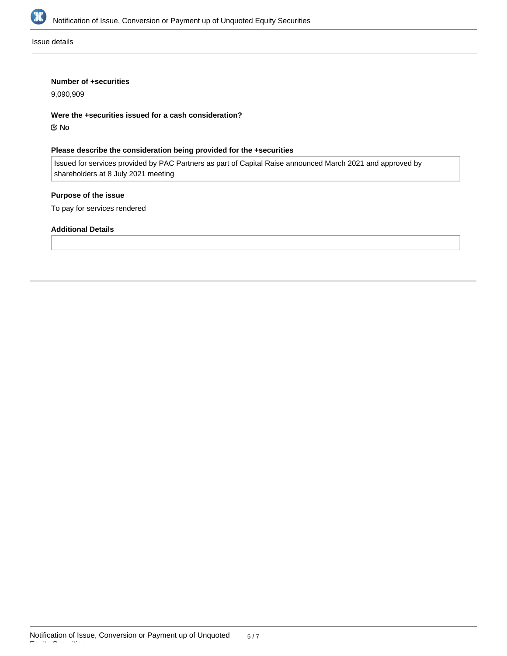

Issue details

### **Number of +securities**

9,090,909

**Were the +securities issued for a cash consideration?**

No

## **Please describe the consideration being provided for the +securities**

Issued for services provided by PAC Partners as part of Capital Raise announced March 2021 and approved by shareholders at 8 July 2021 meeting

## **Purpose of the issue**

To pay for services rendered

#### **Additional Details**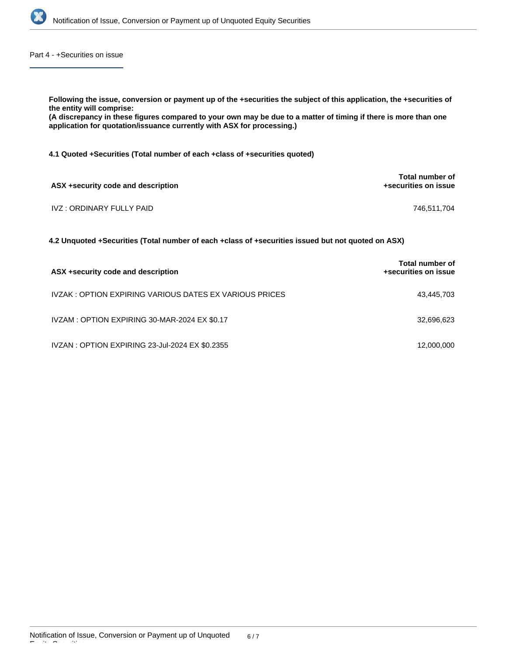

Part 4 - +Securities on issue

| Following the issue, conversion or payment up of the +securities the subject of this application, the +securities of<br>the entity will comprise:<br>(A discrepancy in these figures compared to your own may be due to a matter of timing if there is more than one<br>application for quotation/issuance currently with ASX for processing.) |                                                |  |  |
|------------------------------------------------------------------------------------------------------------------------------------------------------------------------------------------------------------------------------------------------------------------------------------------------------------------------------------------------|------------------------------------------------|--|--|
| 4.1 Quoted +Securities (Total number of each +class of +securities quoted)                                                                                                                                                                                                                                                                     |                                                |  |  |
| ASX + security code and description                                                                                                                                                                                                                                                                                                            | Total number of<br>+securities on issue        |  |  |
| IVZ : ORDINARY FULLY PAID                                                                                                                                                                                                                                                                                                                      | 746,511,704                                    |  |  |
| 4.2 Unquoted +Securities (Total number of each +class of +securities issued but not quoted on ASX)                                                                                                                                                                                                                                             |                                                |  |  |
| ASX +security code and description                                                                                                                                                                                                                                                                                                             | <b>Total number of</b><br>+securities on issue |  |  |
| IVZAK : OPTION EXPIRING VARIOUS DATES EX VARIOUS PRICES                                                                                                                                                                                                                                                                                        | 43,445,703                                     |  |  |

IVZAM : OPTION EXPIRING 30-MAR-2024 EX \$0.17 32,696,623

IVZAN : OPTION EXPIRING 23-Jul-2024 EX \$0.2355 12,000,000 12,000,000